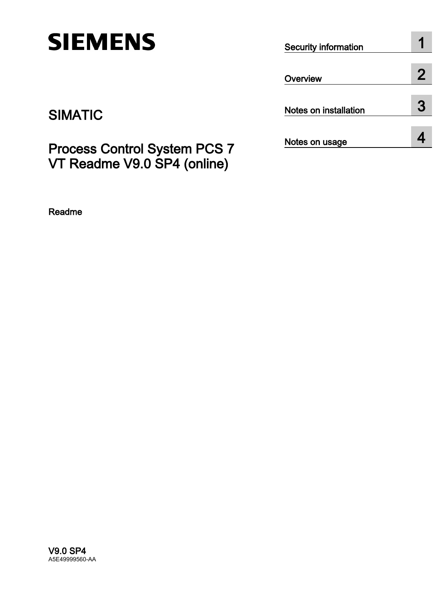# **SIEMENS**

| <b>Security information</b> |   |
|-----------------------------|---|
| Overview                    |   |
| Notes on installation       | 3 |
| Notes on usage              |   |

## SIMATIC

## Process Control System PCS 7 VT Readme V9.0 SP4 (online)

Readme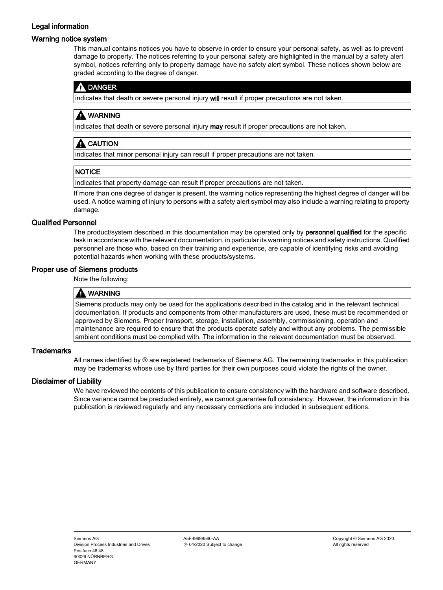## Legal information

### Warning notice system

This manual contains notices you have to observe in order to ensure your personal safety, as well as to prevent damage to property. The notices referring to your personal safety are highlighted in the manual by a safety alert symbol, notices referring only to property damage have no safety alert symbol. These notices shown below are graded according to the degree of danger.

## DANGER

indicates that death or severe personal injury will result if proper precautions are not taken.

## **A** WARNING

indicates that death or severe personal injury may result if proper precautions are not taken.

## **A** CAUTION

indicates that minor personal injury can result if proper precautions are not taken.

## **NOTICE**

indicates that property damage can result if proper precautions are not taken.

If more than one degree of danger is present, the warning notice representing the highest degree of danger will be used. A notice warning of injury to persons with a safety alert symbol may also include a warning relating to property damage.

#### Qualified Personnel

The product/system described in this documentation may be operated only by **personnel qualified** for the specific task in accordance with the relevant documentation, in particular its warning notices and safety instructions. Qualified personnel are those who, based on their training and experience, are capable of identifying risks and avoiding potential hazards when working with these products/systems.

#### Proper use of Siemens products

Note the following:

#### **A** WARNING

Siemens products may only be used for the applications described in the catalog and in the relevant technical documentation. If products and components from other manufacturers are used, these must be recommended or approved by Siemens. Proper transport, storage, installation, assembly, commissioning, operation and maintenance are required to ensure that the products operate safely and without any problems. The permissible ambient conditions must be complied with. The information in the relevant documentation must be observed.

## **Trademarks**

All names identified by ® are registered trademarks of Siemens AG. The remaining trademarks in this publication may be trademarks whose use by third parties for their own purposes could violate the rights of the owner.

#### Disclaimer of Liability

We have reviewed the contents of this publication to ensure consistency with the hardware and software described. Since variance cannot be precluded entirely, we cannot guarantee full consistency. However, the information in this publication is reviewed regularly and any necessary corrections are included in subsequent editions.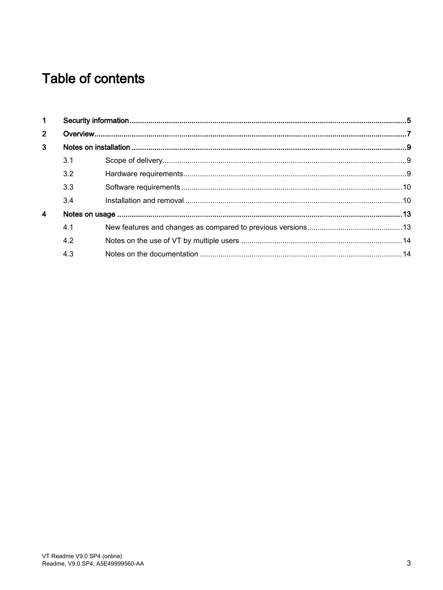## **Table of contents**

| $\mathbf 1$      |     |  |  |
|------------------|-----|--|--|
| $\mathbf{2}$     |     |  |  |
| 3                |     |  |  |
|                  | 3.1 |  |  |
|                  | 3.2 |  |  |
|                  | 3.3 |  |  |
|                  | 3.4 |  |  |
| $\boldsymbol{4}$ |     |  |  |
|                  | 4.1 |  |  |
|                  | 4.2 |  |  |
|                  | 4.3 |  |  |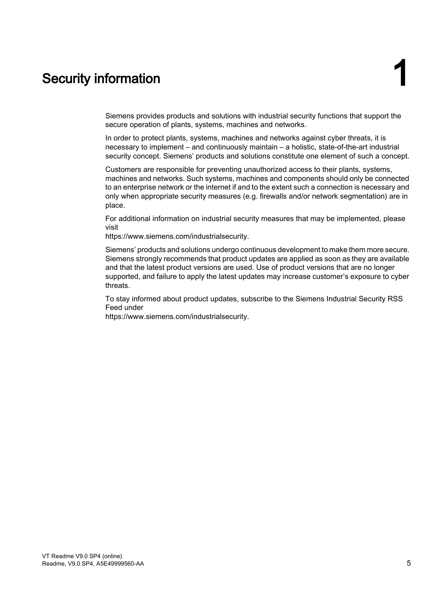## <span id="page-4-0"></span>Security information

Siemens provides products and solutions with industrial security functions that support the secure operation of plants, systems, machines and networks.

In order to protect plants, systems, machines and networks against cyber threats, it is necessary to implement – and continuously maintain – a holistic, state-of-the-art industrial security concept. Siemens' products and solutions constitute one element of such a concept.

Customers are responsible for preventing unauthorized access to their plants, systems, machines and networks. Such systems, machines and components should only be connected to an enterprise network or the internet if and to the extent such a connection is necessary and only when appropriate security measures (e.g. firewalls and/or network segmentation) are in place.

For additional information on industrial security measures that may be implemented, please visit

https://www.siemens.com/industrialsecurity.

Siemens' products and solutions undergo continuous development to make them more secure. Siemens strongly recommends that product updates are applied as soon as they are available and that the latest product versions are used. Use of product versions that are no longer supported, and failure to apply the latest updates may increase customer's exposure to cyber threats.

To stay informed about product updates, subscribe to the Siemens Industrial Security RSS Feed under

https://www.siemens.com/industrialsecurity.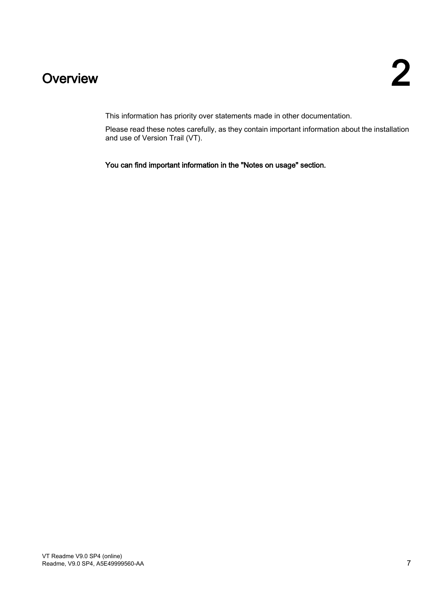# <span id="page-6-0"></span>Overview 2

This information has priority over statements made in other documentation.

Please read these notes carefully, as they contain important information about the installation and use of Version Trail (VT).

You can find important information in the "Notes on usage" section.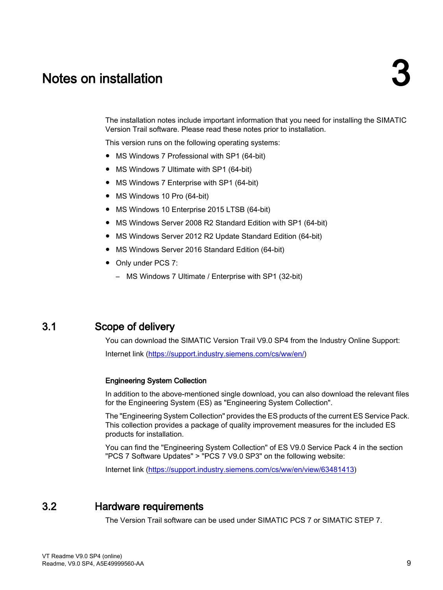# <span id="page-8-0"></span>Notes on installation  $\bf{3}$

The installation notes include important information that you need for installing the SIMATIC Version Trail software. Please read these notes prior to installation.

This version runs on the following operating systems:

- MS Windows 7 Professional with SP1 (64-bit)
- MS Windows 7 Ultimate with SP1 (64-bit)
- MS Windows 7 Enterprise with SP1 (64-bit)
- MS Windows 10 Pro (64-bit)
- MS Windows 10 Enterprise 2015 LTSB (64-bit)
- MS Windows Server 2008 R2 Standard Edition with SP1 (64-bit)
- MS Windows Server 2012 R2 Update Standard Edition (64-bit)
- MS Windows Server 2016 Standard Edition (64-bit)
- Only under PCS 7:
	- MS Windows 7 Ultimate / Enterprise with SP1 (32-bit)

## 3.1 Scope of delivery

You can download the SIMATIC Version Trail V9.0 SP4 from the Industry Online Support:

Internet link (<https://support.industry.siemens.com/cs/ww/en/>)

#### Engineering System Collection

In addition to the above-mentioned single download, you can also download the relevant files for the Engineering System (ES) as "Engineering System Collection".

The "Engineering System Collection" provides the ES products of the current ES Service Pack. This collection provides a package of quality improvement measures for the included ES products for installation.

You can find the "Engineering System Collection" of ES V9.0 Service Pack 4 in the section "PCS 7 Software Updates" > "PCS 7 V9.0 SP3" on the following website:

Internet link (<https://support.industry.siemens.com/cs/ww/en/view/63481413>)

## 3.2 Hardware requirements

The Version Trail software can be used under SIMATIC PCS 7 or SIMATIC STEP 7.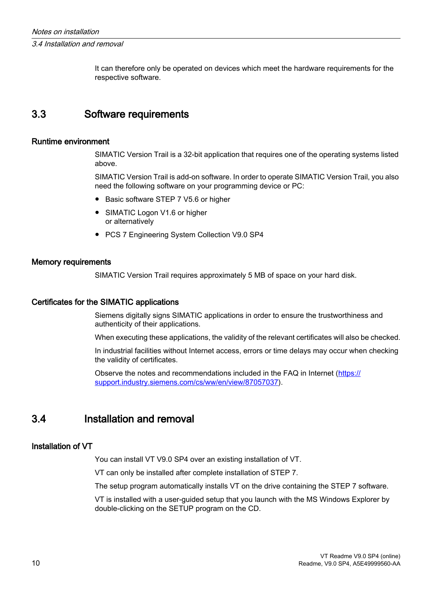<span id="page-9-0"></span>3.4 Installation and removal

It can therefore only be operated on devices which meet the hardware requirements for the respective software.

## 3.3 Software requirements

### Runtime environment

SIMATIC Version Trail is a 32-bit application that requires one of the operating systems listed above.

SIMATIC Version Trail is add-on software. In order to operate SIMATIC Version Trail, you also need the following software on your programming device or PC:

- Basic software STEP 7 V5.6 or higher
- SIMATIC Logon V1.6 or higher or alternatively
- PCS 7 Engineering System Collection V9.0 SP4

#### Memory requirements

SIMATIC Version Trail requires approximately 5 MB of space on your hard disk.

### Certificates for the SIMATIC applications

Siemens digitally signs SIMATIC applications in order to ensure the trustworthiness and authenticity of their applications.

When executing these applications, the validity of the relevant certificates will also be checked.

In industrial facilities without Internet access, errors or time delays may occur when checking the validity of certificates.

Observe the notes and recommendations included in the FAQ in Internet ([https://](https://support.industry.siemens.com/cs/ww/en/view/87057037) [support.industry.siemens.com/cs/ww/en/view/87057037](https://support.industry.siemens.com/cs/ww/en/view/87057037)).

## 3.4 Installation and removal

## Installation of VT

You can install VT V9.0 SP4 over an existing installation of VT.

VT can only be installed after complete installation of STEP 7.

The setup program automatically installs VT on the drive containing the STEP 7 software.

VT is installed with a user-guided setup that you launch with the MS Windows Explorer by double-clicking on the SETUP program on the CD.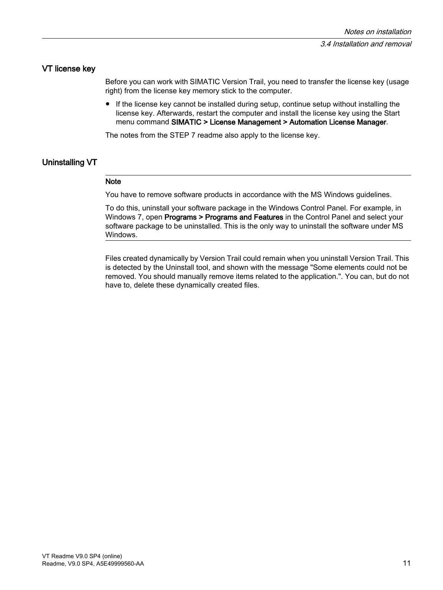## VT license key

Before you can work with SIMATIC Version Trail, you need to transfer the license key (usage right) from the license key memory stick to the computer.

● If the license key cannot be installed during setup, continue setup without installing the license key. Afterwards, restart the computer and install the license key using the Start menu command SIMATIC > License Management > Automation License Manager.

The notes from the STEP 7 readme also apply to the license key.

## Uninstalling VT

#### **Note**

You have to remove software products in accordance with the MS Windows guidelines.

To do this, uninstall your software package in the Windows Control Panel. For example, in Windows 7, open Programs > Programs and Features in the Control Panel and select your software package to be uninstalled. This is the only way to uninstall the software under MS Windows.

Files created dynamically by Version Trail could remain when you uninstall Version Trail. This is detected by the Uninstall tool, and shown with the message "Some elements could not be removed. You should manually remove items related to the application.". You can, but do not have to, delete these dynamically created files.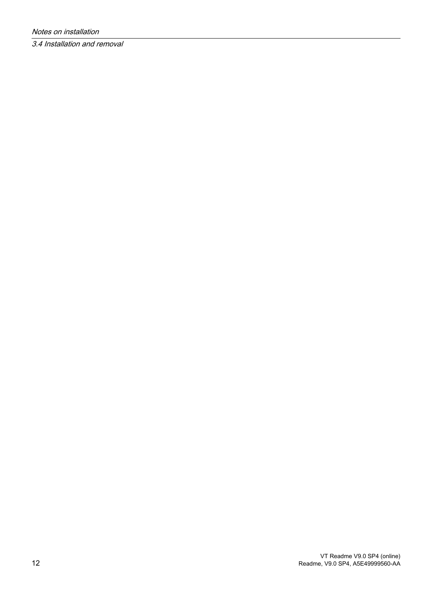Notes on installation

3.4 Installation and removal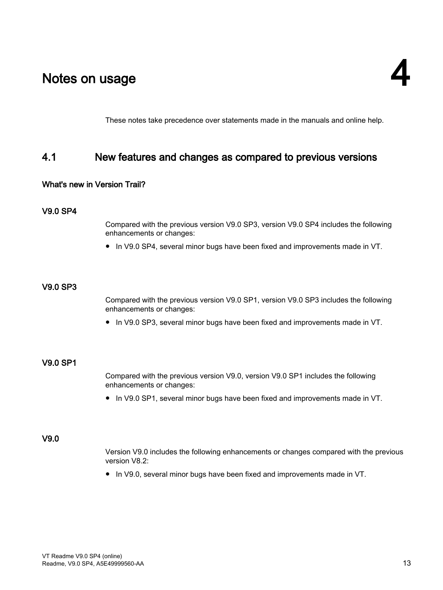# <span id="page-12-0"></span>Notes on usage  $\overline{\mathcal{A}}$

These notes take precedence over statements made in the manuals and online help.

## 4.1 New features and changes as compared to previous versions

## What's new in Version Trail?

## V9.0 SP4

Compared with the previous version V9.0 SP3, version V9.0 SP4 includes the following enhancements or changes:

● In V9.0 SP4, several minor bugs have been fixed and improvements made in VT.

## V9.0 SP3

Compared with the previous version V9.0 SP1, version V9.0 SP3 includes the following enhancements or changes:

● In V9.0 SP3, several minor bugs have been fixed and improvements made in VT.

## V9.0 SP1

Compared with the previous version V9.0, version V9.0 SP1 includes the following enhancements or changes:

● In V9.0 SP1, several minor bugs have been fixed and improvements made in VT.

## V9.0

Version V9.0 includes the following enhancements or changes compared with the previous version V8.2:

● In V9.0, several minor bugs have been fixed and improvements made in VT.